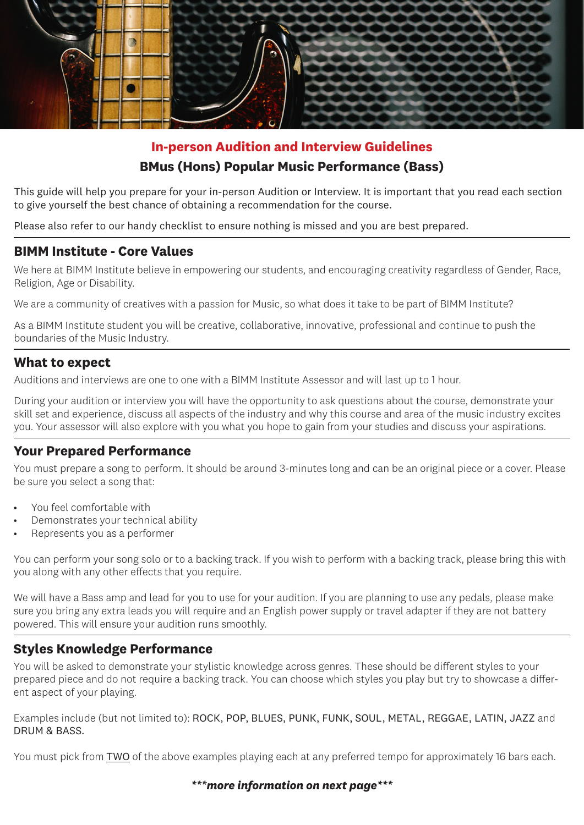

# **In-person Audition and Interview Guidelines BMus (Hons) Popular Music Performance (Bass)**

This guide will help you prepare for your in-person Audition or Interview. It is important that you read each section to give yourself the best chance of obtaining a recommendation for the course.

Please also refer to our handy checklist to ensure nothing is missed and you are best prepared.

## **BIMM Institute - Core Values**

We here at BIMM Institute believe in empowering our students, and encouraging creativity regardless of Gender, Race, Religion, Age or Disability.

We are a community of creatives with a passion for Music, so what does it take to be part of BIMM Institute?

As a BIMM Institute student you will be creative, collaborative, innovative, professional and continue to push the boundaries of the Music Industry.

#### **What to expect**

Auditions and interviews are one to one with a BIMM Institute Assessor and will last up to 1 hour.

During your audition or interview you will have the opportunity to ask questions about the course, demonstrate your skill set and experience, discuss all aspects of the industry and why this course and area of the music industry excites you. Your assessor will also explore with you what you hope to gain from your studies and discuss your aspirations.

#### **Your Prepared Performance**

You must prepare a song to perform. It should be around 3-minutes long and can be an original piece or a cover. Please be sure you select a song that:

- You feel comfortable with
- Demonstrates your technical ability
- Represents you as a performer

You can perform your song solo or to a backing track. If you wish to perform with a backing track, please bring this with you along with any other effects that you require.

We will have a Bass amp and lead for you to use for your audition. If you are planning to use any pedals, please make sure you bring any extra leads you will require and an English power supply or travel adapter if they are not battery powered. This will ensure your audition runs smoothly.

#### **Styles Knowledge Performance**

You will be asked to demonstrate your stylistic knowledge across genres. These should be different styles to your prepared piece and do not require a backing track. You can choose which styles you play but try to showcase a different aspect of your playing.

Examples include (but not limited to): ROCK, POP, BLUES, PUNK, FUNK, SOUL, METAL, REGGAE, LATIN, JAZZ and DRUM & BASS.

You must pick from TWO of the above examples playing each at any preferred tempo for approximately 16 bars each.

*\*\*\*more information on next page\*\*\**